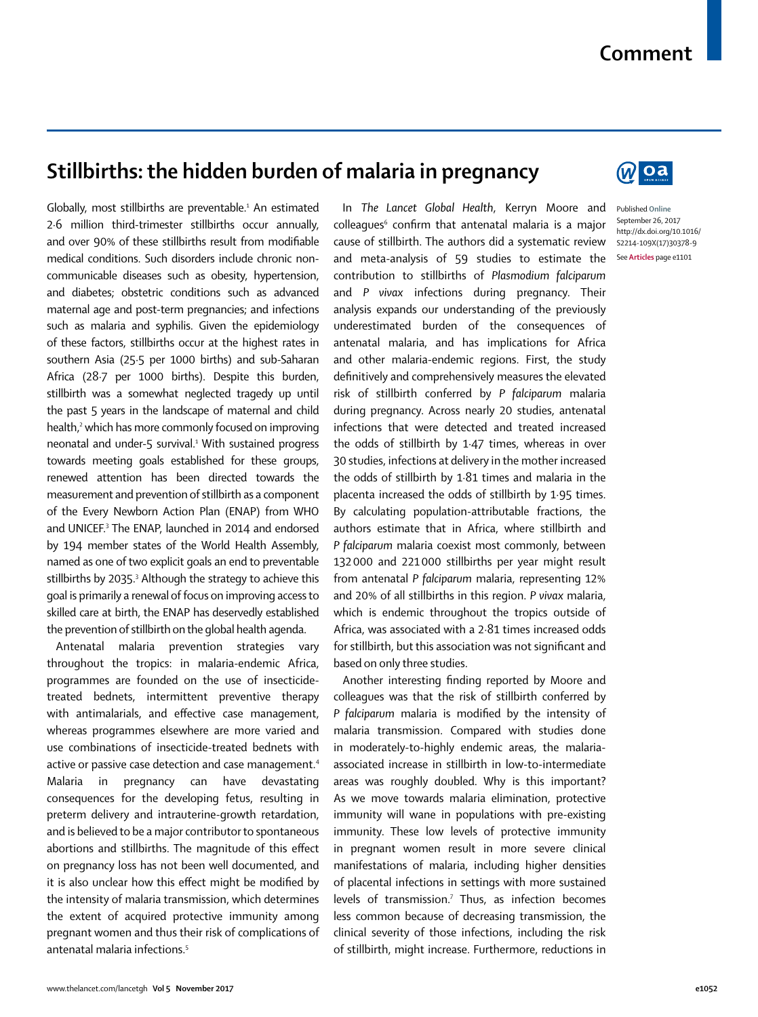## **Comment**

## **Stillbirths: the hidden burden of malaria in pregnancy**

Globally, most stillbirths are preventable.<sup>1</sup> An estimated 2·6 million third-trimester stillbirths occur annually, and over 90% of these stillbirths result from modifiable medical conditions. Such disorders include chronic noncommunicable diseases such as obesity, hypertension, and diabetes; obstetric conditions such as advanced maternal age and post-term pregnancies; and infections such as malaria and syphilis. Given the epidemiology of these factors, stillbirths occur at the highest rates in southern Asia (25·5 per 1000 births) and sub-Saharan Africa (28·7 per 1000 births). Despite this burden, stillbirth was a somewhat neglected tragedy up until the past 5 years in the landscape of maternal and child health,<sup>2</sup> which has more commonly focused on improving neonatal and under-5 survival.<sup>1</sup> With sustained progress towards meeting goals established for these groups, renewed attention has been directed towards the measurement and prevention of stillbirth as a component of the Every Newborn Action Plan (ENAP) from WHO and UNICEF.3 The ENAP, launched in 2014 and endorsed by 194 member states of the World Health Assembly, named as one of two explicit goals an end to preventable stillbirths by 2035.<sup>3</sup> Although the strategy to achieve this goal is primarily a renewal of focus on improving access to skilled care at birth, the ENAP has deservedly established the prevention of stillbirth on the global health agenda.

Antenatal malaria prevention strategies vary throughout the tropics: in malaria-endemic Africa, programmes are founded on the use of insecticidetreated bednets, intermittent preventive therapy with antimalarials, and effective case management, whereas programmes elsewhere are more varied and use combinations of insecticide-treated bednets with active or passive case detection and case management.<sup>4</sup> Malaria in pregnancy can have devastating consequences for the developing fetus, resulting in preterm delivery and intrauterine-growth retardation, and is believed to be a major contributor to spontaneous abortions and stillbirths. The magnitude of this effect on pregnancy loss has not been well documented, and it is also unclear how this effect might be modified by the intensity of malaria transmission, which determines the extent of acquired protective immunity among pregnant women and thus their risk of complications of antenatal malaria infections.5

In *The Lancet Global Health*, Kerryn Moore and colleagues<sup>6</sup> confirm that antenatal malaria is a major cause of stillbirth. The authors did a systematic review and meta-analysis of 59 studies to estimate the contribution to stillbirths of *Plasmodium falciparum* and *P vivax* infections during pregnancy. Their analysis expands our understanding of the previously underestimated burden of the consequences of antenatal malaria, and has implications for Africa and other malaria-endemic regions. First, the study definitively and comprehensively measures the elevated risk of stillbirth conferred by *P falciparum* malaria during pregnancy. Across nearly 20 studies, antenatal infections that were detected and treated increased the odds of stillbirth by 1·47 times, whereas in over 30 studies, infections at delivery in the mother increased the odds of stillbirth by 1·81 times and malaria in the placenta increased the odds of stillbirth by 1·95 times. By calculating population-attributable fractions, the authors estimate that in Africa, where stillbirth and *P falciparum* malaria coexist most commonly, between 132000 and 221000 stillbirths per year might result from antenatal *P falciparum* malaria, representing 12% and 20% of all stillbirths in this region. *P vivax* malaria, which is endemic throughout the tropics outside of Africa, was associated with a 2·81 times increased odds for stillbirth, but this association was not significant and based on only three studies.

Another interesting finding reported by Moore and colleagues was that the risk of stillbirth conferred by *P falciparum* malaria is modified by the intensity of malaria transmission. Compared with studies done in moderately-to-highly endemic areas, the malariaassociated increase in stillbirth in low-to-intermediate areas was roughly doubled. Why is this important? As we move towards malaria elimination, protective immunity will wane in populations with pre-existing immunity. These low levels of protective immunity in pregnant women result in more severe clinical manifestations of malaria, including higher densities of placental infections in settings with more sustained levels of transmission.<sup>7</sup> Thus, as infection becomes less common because of decreasing transmission, the clinical severity of those infections, including the risk of stillbirth, might increase. Furthermore, reductions in



Published **Online** September 26, 2017 http://dx.doi.org/10.1016/ S2214-109X(17)30378-9 See **Articles** page e1101